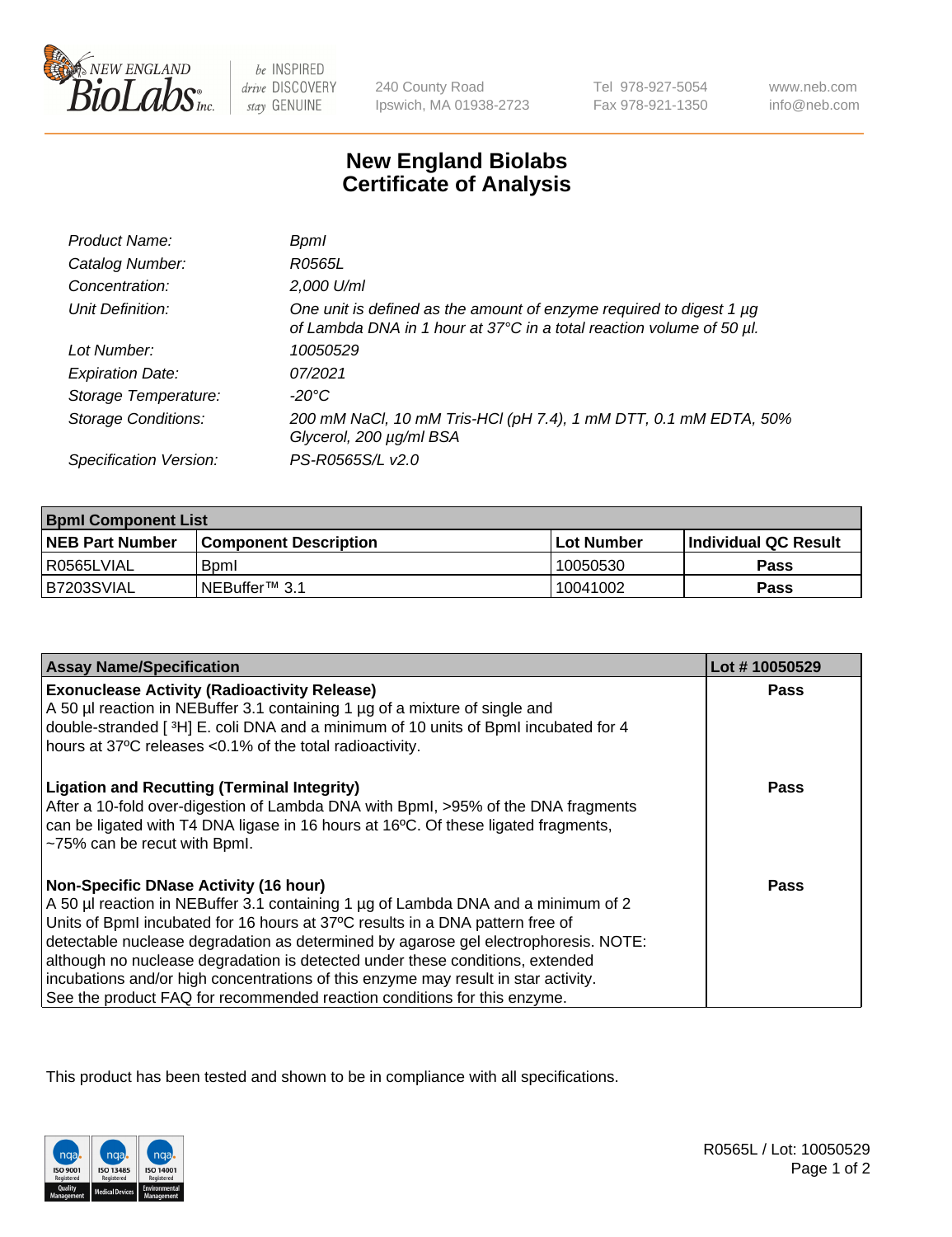

 $be$  INSPIRED drive DISCOVERY stay GENUINE

240 County Road Ipswich, MA 01938-2723 Tel 978-927-5054 Fax 978-921-1350

www.neb.com info@neb.com

## **New England Biolabs Certificate of Analysis**

| Product Name:              | Bpml                                                                                                                                        |
|----------------------------|---------------------------------------------------------------------------------------------------------------------------------------------|
| Catalog Number:            | R0565L                                                                                                                                      |
| Concentration:             | 2,000 U/ml                                                                                                                                  |
| Unit Definition:           | One unit is defined as the amount of enzyme required to digest 1 µg<br>of Lambda DNA in 1 hour at 37°C in a total reaction volume of 50 µl. |
| Lot Number:                | 10050529                                                                                                                                    |
| <b>Expiration Date:</b>    | 07/2021                                                                                                                                     |
| Storage Temperature:       | -20°C                                                                                                                                       |
| <b>Storage Conditions:</b> | 200 mM NaCl, 10 mM Tris-HCl (pH 7.4), 1 mM DTT, 0.1 mM EDTA, 50%<br>Glycerol, 200 µg/ml BSA                                                 |
| Specification Version:     | PS-R0565S/L v2.0                                                                                                                            |

| <b>Bpml Component List</b> |                         |              |                             |  |
|----------------------------|-------------------------|--------------|-----------------------------|--|
| <b>NEB Part Number</b>     | l Component Description | l Lot Number | <b>Individual QC Result</b> |  |
| l R0565LVIAL               | <b>B</b> <sub>pm</sub>  | 10050530     | Pass                        |  |
| B7203SVIAL                 | INEBuffer™ 3.1          | 10041002     | Pass                        |  |

| <b>Assay Name/Specification</b>                                                                                                                                                                                                                                                                                                                                                                                                                                                                                                                              | Lot #10050529 |
|--------------------------------------------------------------------------------------------------------------------------------------------------------------------------------------------------------------------------------------------------------------------------------------------------------------------------------------------------------------------------------------------------------------------------------------------------------------------------------------------------------------------------------------------------------------|---------------|
| <b>Exonuclease Activity (Radioactivity Release)</b><br>A 50 µl reaction in NEBuffer 3.1 containing 1 µg of a mixture of single and                                                                                                                                                                                                                                                                                                                                                                                                                           | Pass          |
| double-stranded [3H] E. coli DNA and a minimum of 10 units of BpmI incubated for 4<br>hours at 37°C releases <0.1% of the total radioactivity.                                                                                                                                                                                                                                                                                                                                                                                                               |               |
| <b>Ligation and Recutting (Terminal Integrity)</b><br>After a 10-fold over-digestion of Lambda DNA with Bpml, >95% of the DNA fragments<br>can be ligated with T4 DNA ligase in 16 hours at 16°C. Of these ligated fragments,<br>~75% can be recut with Bpml.                                                                                                                                                                                                                                                                                                | Pass          |
| <b>Non-Specific DNase Activity (16 hour)</b><br>A 50 µl reaction in NEBuffer 3.1 containing 1 µg of Lambda DNA and a minimum of 2<br>Units of BpmI incubated for 16 hours at 37°C results in a DNA pattern free of<br>detectable nuclease degradation as determined by agarose gel electrophoresis. NOTE:<br>although no nuclease degradation is detected under these conditions, extended<br>incubations and/or high concentrations of this enzyme may result in star activity.<br>See the product FAQ for recommended reaction conditions for this enzyme. | Pass          |

This product has been tested and shown to be in compliance with all specifications.